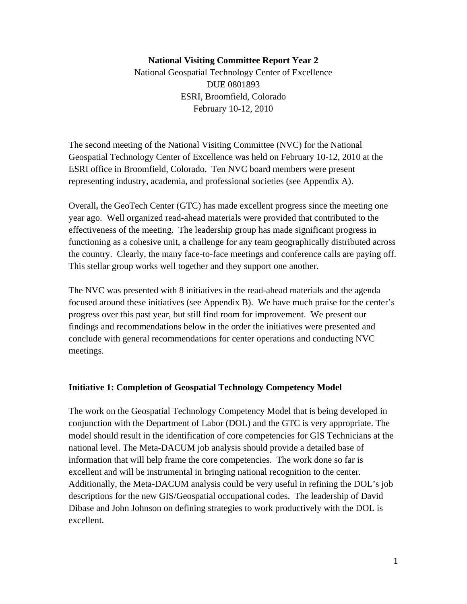## **National Visiting Committee Report Year 2**

National Geospatial Technology Center of Excellence DUE 0801893 ESRI, Broomfield, Colorado February 10-12, 2010

The second meeting of the National Visiting Committee (NVC) for the National Geospatial Technology Center of Excellence was held on February 10-12, 2010 at the ESRI office in Broomfield, Colorado. Ten NVC board members were present representing industry, academia, and professional societies (see Appendix A).

Overall**,** the GeoTech Center (GTC) has made excellent progress since the meeting one year ago. Well organized read-ahead materials were provided that contributed to the effectiveness of the meeting. The leadership group has made significant progress in functioning as a cohesive unit, a challenge for any team geographically distributed across the country. Clearly, the many face-to-face meetings and conference calls are paying off. This stellar group works well together and they support one another.

The NVC was presented with 8 initiatives in the read**-**ahead materials and the agenda focused around these initiatives (see Appendix B). We have much praise for the center's progress over this past year, but still find room for improvement. We present our findings and recommendations below in the order the initiatives were presented and conclude with general recommendations for center operations and conducting NVC meetings.

#### **Initiative 1: Completion of Geospatial Technology Competency Model**

The work on the Geospatial Technology Competency Model that is being developed in conjunction with the Department of Labor (DOL) and the GTC is very appropriate. The model should result in the identification of core competencies for GIS Technicians at the national level. The Meta-DACUM job analysis should provide a detailed base of information that will help frame the core competencies. The work done so far is excellent and will be instrumental in bringing national recognition to the center. Additionally, the Meta-DACUM analysis could be very useful in refining the DOL's job descriptions for the new GIS/Geospatial occupational codes. The leadership of David Dibase and John Johnson on defining strategies to work productively with the DOL is excellent.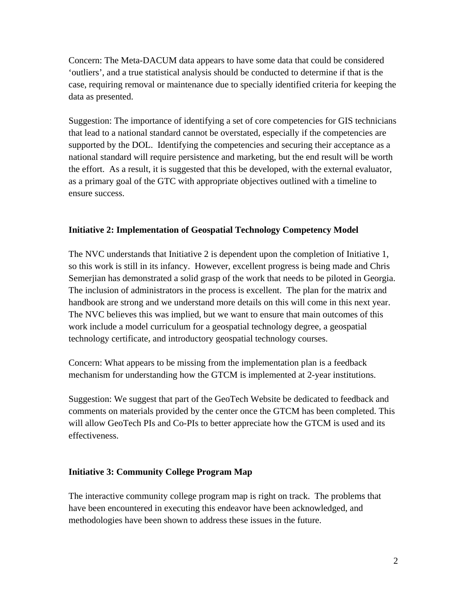Concern: The Meta-DACUM data appears to have some data that could be considered 'outliers', and a true statistical analysis should be conducted to determine if that is the case, requiring removal or maintenance due to specially identified criteria for keeping the data as presented.

Suggestion: The importance of identifying a set of core competencies for GIS technicians that lead to a national standard cannot be overstated, especially if the competencies are supported by the DOL. Identifying the competencies and securing their acceptance as a national standard will require persistence and marketing, but the end result will be worth the effort. As a result, it is suggested that this be developed, with the external evaluator, as a primary goal of the GTC with appropriate objectives outlined with a timeline to ensure success.

## **Initiative 2: Implementation of Geospatial Technology Competency Model**

The NVC understands that Initiative 2 is dependent upon the completion of Initiative 1, so this work is still in its infancy. However, excellent progress is being made and Chris Semerjian has demonstrated a solid grasp of the work that needs to be piloted in Georgia. The inclusion of administrators in the process is excellent. The plan for the matrix and handbook are strong and we understand more details on this will come in this next year. The NVC believes this was implied, but we want to ensure that main outcomes of this work include a model curriculum for a geospatial technology degree, a geospatial technology certificate**,** and introductory geospatial technology courses.

Concern: What appears to be missing from the implementation plan is a feedback mechanism for understanding how the GTCM is implemented at 2-year institutions.

Suggestion: We suggest that part of the GeoTech Website be dedicated to feedback and comments on materials provided by the center once the GTCM has been completed. This will allow GeoTech PIs and Co-PIs to better appreciate how the GTCM is used and its effectiveness.

## **Initiative 3: Community College Program Map**

The interactive community college program map is right on track. The problems that have been encountered in executing this endeavor have been acknowledged, and methodologies have been shown to address these issues in the future.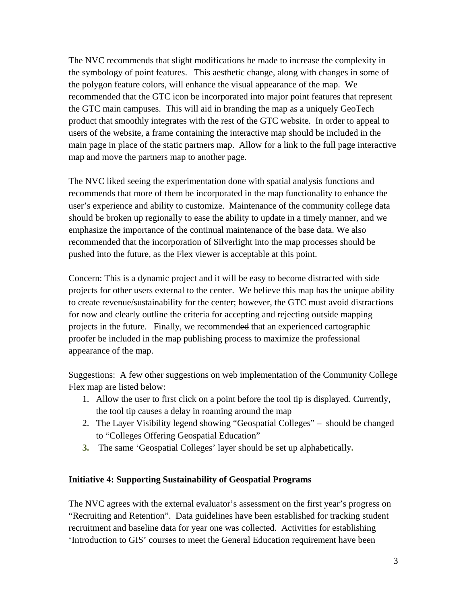The NVC recommends that slight modifications be made to increase the complexity in the symbology of point features. This aesthetic change, along with changes in some of the polygon feature colors, will enhance the visual appearance of the map. We recommended that the GTC icon be incorporated into major point features that represent the GTC main campuses. This will aid in branding the map as a uniquely GeoTech product that smoothly integrates with the rest of the GTC website. In order to appeal to users of the website, a frame containing the interactive map should be included in the main page in place of the static partners map. Allow for a link to the full page interactive map and move the partners map to another page.

The NVC liked seeing the experimentation done with spatial analysis functions and recommends that more of them be incorporated in the map functionality to enhance the user's experience and ability to customize. Maintenance of the community college data should be broken up regionally to ease the ability to update in a timely manner, and we emphasize the importance of the continual maintenance of the base data. We also recommended that the incorporation of Silverlight into the map processes should be pushed into the future, as the Flex viewer is acceptable at this point.

Concern: This is a dynamic project and it will be easy to become distracted with side projects for other users external to the center. We believe this map has the unique ability to create revenue/sustainability for the center; however, the GTC must avoid distractions for now and clearly outline the criteria for accepting and rejecting outside mapping projects in the future. Finally, we recommended that an experienced cartographic proofer be included in the map publishing process to maximize the professional appearance of the map.

Suggestions: A few other suggestions on web implementation of the Community College Flex map are listed below:

- 1. Allow the user to first click on a point before the tool tip is displayed. Currently, the tool tip causes a delay in roaming around the map
- 2. The Layer Visibility legend showing "Geospatial Colleges" should be changed to "Colleges Offering Geospatial Education"
- **3.** The same 'Geospatial Colleges' layer should be set up alphabetically**.**

## **Initiative 4: Supporting Sustainability of Geospatial Programs**

The NVC agrees with the external evaluator's assessment on the first year's progress on "Recruiting and Retention". Data guidelines have been established for tracking student recruitment and baseline data for year one was collected. Activities for establishing 'Introduction to GIS' courses to meet the General Education requirement have been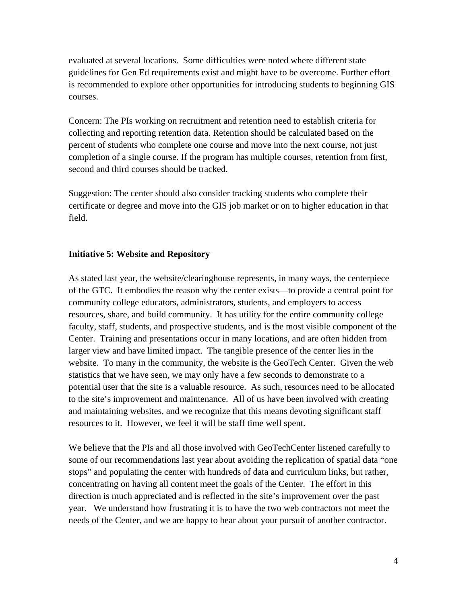evaluated at several locations. Some difficulties were noted where different state guidelines for Gen Ed requirements exist and might have to be overcome. Further effort is recommended to explore other opportunities for introducing students to beginning GIS courses.

Concern: The PIs working on recruitment and retention need to establish criteria for collecting and reporting retention data. Retention should be calculated based on the percent of students who complete one course and move into the next course, not just completion of a single course. If the program has multiple courses, retention from first, second and third courses should be tracked.

Suggestion: The center should also consider tracking students who complete their certificate or degree and move into the GIS job market or on to higher education in that field.

## **Initiative 5: Website and Repository**

As stated last year, the website/clearinghouse represents, in many ways, the centerpiece of the GTC. It embodies the reason why the center exists—to provide a central point for community college educators, administrators, students, and employers to access resources, share, and build community. It has utility for the entire community college faculty, staff, students, and prospective students, and is the most visible component of the Center. Training and presentations occur in many locations, and are often hidden from larger view and have limited impact. The tangible presence of the center lies in the website. To many in the community, the website is the GeoTech Center. Given the web statistics that we have seen, we may only have a few seconds to demonstrate to a potential user that the site is a valuable resource. As such, resources need to be allocated to the site's improvement and maintenance. All of us have been involved with creating and maintaining websites, and we recognize that this means devoting significant staff resources to it. However, we feel it will be staff time well spent.

We believe that the PIs and all those involved with GeoTechCenter listened carefully to some of our recommendations last year about avoiding the replication of spatial data "one stops" and populating the center with hundreds of data and curriculum links, but rather, concentrating on having all content meet the goals of the Center. The effort in this direction is much appreciated and is reflected in the site's improvement over the past year. We understand how frustrating it is to have the two web contractors not meet the needs of the Center, and we are happy to hear about your pursuit of another contractor.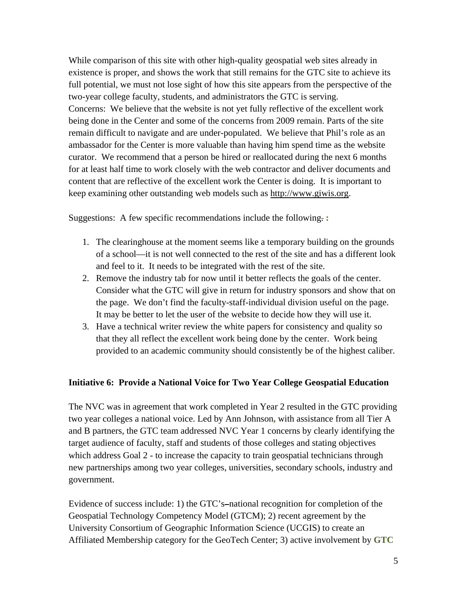While comparison of this site with other high-quality geospatial web sites already in existence is proper, and shows the work that still remains for the GTC site to achieve its full potential, we must not lose sight of how this site appears from the perspective of the two-year college faculty, students, and administrators the GTC is serving. Concerns: We believe that the website is not yet fully reflective of the excellent work being done in the Center and some of the concerns from 2009 remain. Parts of the site remain difficult to navigate and are under-populated. We believe that Phil's role as an ambassador for the Center is more valuable than having him spend time as the website curator. We recommend that a person be hired or reallocated during the next 6 months for at least half time to work closely with the web contractor and deliver documents and content that are reflective of the excellent work the Center is doing. It is important to keep examining other outstanding web models such as http://www.giwis.org.

Suggestions:A few specific recommendations include the following. **:** 

- 1. The clearinghouse at the moment seems like a temporary building on the grounds of a school—it is not well connected to the rest of the site and has a different look and feel to it. It needs to be integrated with the rest of the site.
- 2. Remove the industry tab for now until it better reflects the goals of the center. Consider what the GTC will give in return for industry sponsors and show that on the page. We don't find the faculty-staff-individual division useful on the page. It may be better to let the user of the website to decide how they will use it.
- 3. Have a technical writer review the white papers for consistency and quality so that they all reflect the excellent work being done by the center. Work being provided to an academic community should consistently be of the highest caliber.

## **Initiative 6: Provide a National Voice for Two Year College Geospatial Education**

The NVC was in agreement that work completed in Year 2 resulted in the GTC providing two year colleges a national voice. Led by Ann Johnson**,** with assistance from all Tier A and B partners, the GTC team addressed NVC Year 1 concerns by clearly identifying the target audience of faculty, staff and students of those colleges and stating objectives which address Goal 2 - to increase the capacity to train geospatial technicians through new partnerships among two year colleges, universities, secondary schools, industry and government.

Evidence of success include: 1) the GTC's-national recognition for completion of the Geospatial Technology Competency Model (GTCM); 2) recent agreement by the University Consortium of Geographic Information Science (UCGIS) to create an Affiliated Membership category for the GeoTech Center; 3) active involvement by **GTC**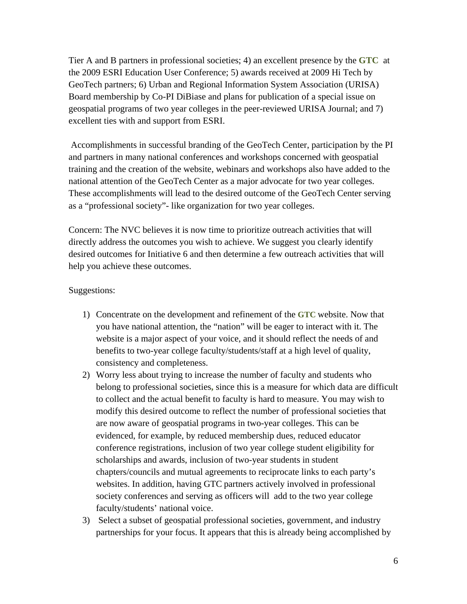Tier A and B partners in professional societies; 4) an excellent presence by the **GTC** at the 2009 ESRI Education User Conference; 5) awards received at 2009 Hi Tech by GeoTech partners; 6) Urban and Regional Information System Association (URISA) Board membership by Co-PI DiBiase and plans for publication of a special issue on geospatial programs of two year colleges in the peer-reviewed URISA Journal; and 7) excellent ties with and support from ESRI.

 Accomplishments in successful branding of the GeoTech Center, participation by the PI and partners in many national conferences and workshops concerned with geospatial training and the creation of the website, webinars and workshops also have added to the national attention of the GeoTech Center as a major advocate for two year colleges. These accomplishments will lead to the desired outcome of the GeoTech Center serving as a "professional society"- like organization for two year colleges.

Concern: The NVC believes it is now time to prioritize outreach activities that will directly address the outcomes you wish to achieve. We suggest you clearly identify desired outcomes for Initiative 6 and then determine a few outreach activities that will help you achieve these outcomes.

## Suggestions:

- 1) Concentrate on the development and refinement of the **GTC** website. Now that you have national attention, the "nation" will be eager to interact with it. The website is a major aspect of your voice, and it should reflect the needs of and benefits to two-year college faculty/students/staff at a high level of quality, consistency and completeness.
- 2) Worry less about trying to increase the number of faculty and students who belong to professional societies**,** since this is a measure for which data are difficult to collect and the actual benefit to faculty is hard to measure. You may wish to modify this desired outcome to reflect the number of professional societies that are now aware of geospatial programs in two-year colleges. This can be evidenced, for example, by reduced membership dues, reduced educator conference registrations, inclusion of two year college student eligibility for scholarships and awards, inclusion of two-year students in student chapters/councils and mutual agreements to reciprocate links to each party's websites. In addition, having GTC partners actively involved in professional society conferences and serving as officers will add to the two year college faculty/students' national voice.
- 3) Select a subset of geospatial professional societies, government, and industry partnerships for your focus. It appears that this is already being accomplished by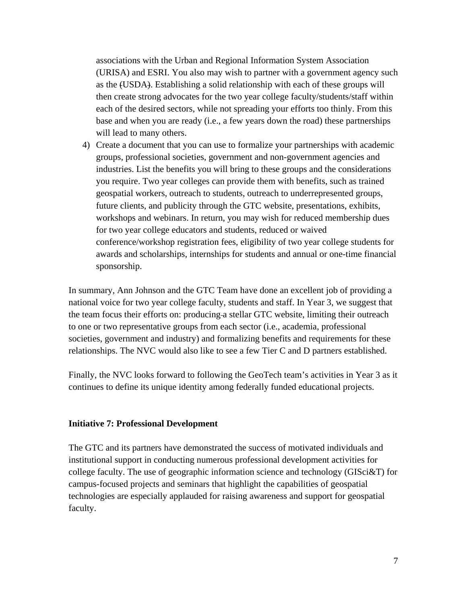associations with the Urban and Regional Information System Association (URISA) and ESRI. You also may wish to partner with a government agency such as the (USDA). Establishing a solid relationship with each of these groups will then create strong advocates for the two year college faculty/students/staff within each of the desired sectors, while not spreading your efforts too thinly. From this base and when you are ready (i.e., a few years down the road) these partnerships will lead to many others.

4) Create a document that you can use to formalize your partnerships with academic groups, professional societies, government and non-government agencies and industries. List the benefits you will bring to these groups and the considerations you require. Two year colleges can provide them with benefits, such as trained geospatial workers, outreach to students, outreach to underrepresented groups, future clients, and publicity through the GTC website, presentations, exhibits, workshops and webinars. In return, you may wish for reduced membership dues for two year college educators and students, reduced or waived conference/workshop registration fees, eligibility of two year college students for awards and scholarships, internships for students and annual or one-time financial sponsorship.

In summary, Ann Johnson and the GTC Team have done an excellent job of providing a national voice for two year college faculty, students and staff. In Year 3, we suggest that the team focus their efforts on: producing a stellar GTC website, limiting their outreach to one or two representative groups from each sector (i.e., academia, professional societies, government and industry) and formalizing benefits and requirements for these relationships. The NVC would also like to see a few Tier C and D partners established.

Finally, the NVC looks forward to following the GeoTech team's activities in Year 3 as it continues to define its unique identity among federally funded educational projects.

#### **Initiative 7: Professional Development**

The GTC and its partners have demonstrated the success of motivated individuals and institutional support in conducting numerous professional development activities for college faculty. The use of geographic information science and technology (GISci&T) for campus-focused projects and seminars that highlight the capabilities of geospatial technologies are especially applauded for raising awareness and support for geospatial faculty.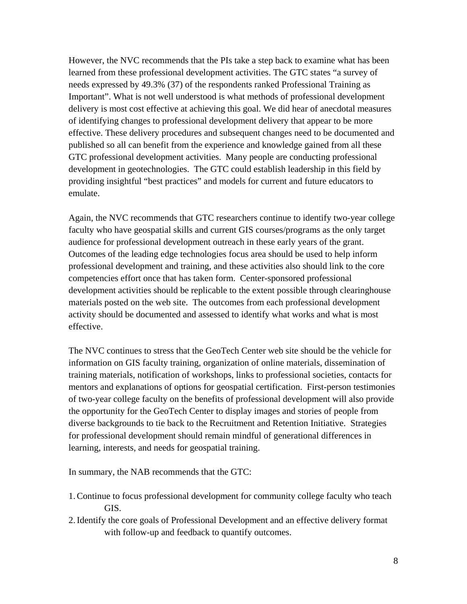However, the NVC recommends that the PIs take a step back to examine what has been learned from these professional development activities. The GTC states "a survey of needs expressed by 49.3% (37) of the respondents ranked Professional Training as Important". What is not well understood is what methods of professional development delivery is most cost effective at achieving this goal. We did hear of anecdotal measures of identifying changes to professional development delivery that appear to be more effective. These delivery procedures and subsequent changes need to be documented and published so all can benefit from the experience and knowledge gained from all these GTC professional development activities. Many people are conducting professional development in geotechnologies. The GTC could establish leadership in this field by providing insightful "best practices" and models for current and future educators to emulate.

Again, the NVC recommends that GTC researchers continue to identify two-year college faculty who have geospatial skills and current GIS courses/programs as the only target audience for professional development outreach in these early years of the grant. Outcomes of the leading edge technologies focus area should be used to help inform professional development and training, and these activities also should link to the core competencies effort once that has taken form. Center-sponsored professional development activities should be replicable to the extent possible through clearinghouse materials posted on the web site. The outcomes from each professional development activity should be documented and assessed to identify what works and what is most effective.

The NVC continues to stress that the GeoTech Center web site should be the vehicle for information on GIS faculty training, organization of online materials, dissemination of training materials, notification of workshops, links to professional societies, contacts for mentors and explanations of options for geospatial certification. First-person testimonies of two-year college faculty on the benefits of professional development will also provide the opportunity for the GeoTech Center to display images and stories of people from diverse backgrounds to tie back to the Recruitment and Retention Initiative. Strategies for professional development should remain mindful of generational differences in learning, interests, and needs for geospatial training.

In summary, the NAB recommends that the GTC:

- 1.Continue to focus professional development for community college faculty who teach GIS.
- 2.Identify the core goals of Professional Development and an effective delivery format with follow-up and feedback to quantify outcomes.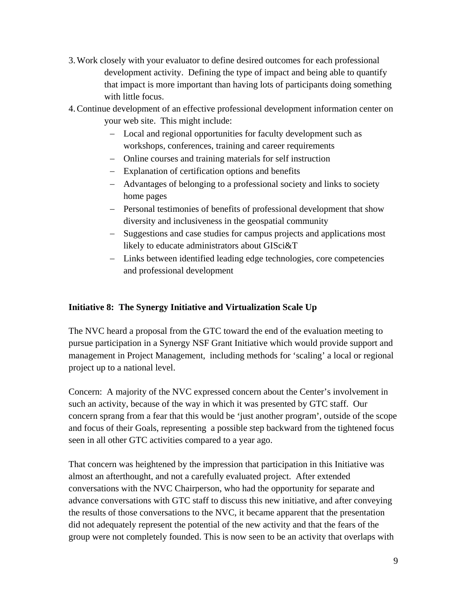- 3.Work closely with your evaluator to define desired outcomes for each professional development activity. Defining the type of impact and being able to quantify that impact is more important than having lots of participants doing something with little focus.
- 4.Continue development of an effective professional development information center on your web site. This might include:
	- Local and regional opportunities for faculty development such as workshops, conferences, training and career requirements
	- Online courses and training materials for self instruction
	- Explanation of certification options and benefits
	- Advantages of belonging to a professional society and links to society home pages
	- Personal testimonies of benefits of professional development that show diversity and inclusiveness in the geospatial community
	- Suggestions and case studies for campus projects and applications most likely to educate administrators about GISci&T
	- Links between identified leading edge technologies, core competencies and professional development

## **Initiative 8: The Synergy Initiative and Virtualization Scale Up**

The NVC heard a proposal from the GTC toward the end of the evaluation meeting to pursue participation in a Synergy NSF Grant Initiative which would provide support and management in Project Management, including methods for 'scaling' a local or regional project up to a national level.

Concern: A majority of the NVC expressed concern about the Center's involvement in such an activity, because of the way in which it was presented by GTC staff. Our concern sprang from a fear that this would be **'**just another program**'**, outside of the scope and focus of their Goals, representing a possible step backward from the tightened focus seen in all other GTC activities compared to a year ago.

That concern was heightened by the impression that participation in this Initiative was almost an afterthought, and not a carefully evaluated project. After extended conversations with the NVC Chairperson, who had the opportunity for separate and advance conversations with GTC staff to discuss this new initiative, and after conveying the results of those conversations to the NVC, it became apparent that the presentation did not adequately represent the potential of the new activity and that the fears of the group were not completely founded. This is now seen to be an activity that overlaps with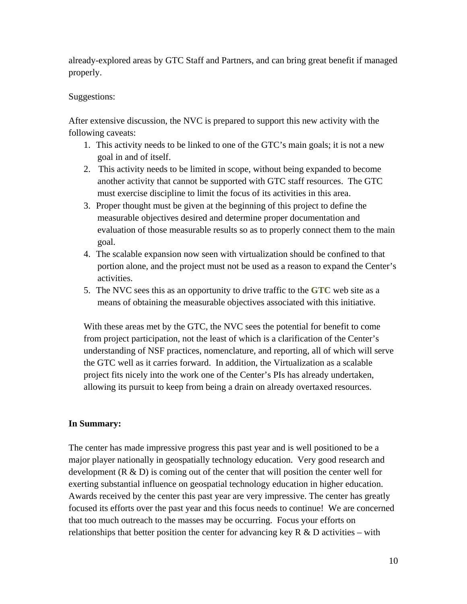already-explored areas by GTC Staff and Partners, and can bring great benefit if managed properly.

## Suggestions:

After extensive discussion, the NVC is prepared to support this new activity with the following caveats:

- 1. This activity needs to be linked to one of the GTC's main goals; it is not a new goal in and of itself.
- 2. This activity needs to be limited in scope, without being expanded to become another activity that cannot be supported with GTC staff resources. The GTC must exercise discipline to limit the focus of its activities in this area.
- 3. Proper thought must be given at the beginning of this project to define the measurable objectives desired and determine proper documentation and evaluation of those measurable results so as to properly connect them to the main goal.
- 4. The scalable expansion now seen with virtualization should be confined to that portion alone, and the project must not be used as a reason to expand the Center's activities.
- 5. The NVC sees this as an opportunity to drive traffic to the **GTC** web site as a means of obtaining the measurable objectives associated with this initiative.

With these areas met by the GTC, the NVC sees the potential for benefit to come from project participation, not the least of which is a clarification of the Center's understanding of NSF practices, nomenclature, and reporting, all of which will serve the GTC well as it carries forward. In addition, the Virtualization as a scalable project fits nicely into the work one of the Center's PIs has already undertaken, allowing its pursuit to keep from being a drain on already overtaxed resources.

# **In Summary:**

The center has made impressive progress this past year and is well positioned to be a major player nationally in geospatially technology education. Very good research and development  $(R & D)$  is coming out of the center that will position the center well for exerting substantial influence on geospatial technology education in higher education. Awards received by the center this past year are very impressive. The center has greatly focused its efforts over the past year and this focus needs to continue! We are concerned that too much outreach to the masses may be occurring. Focus your efforts on relationships that better position the center for advancing key  $R \& D$  activities – with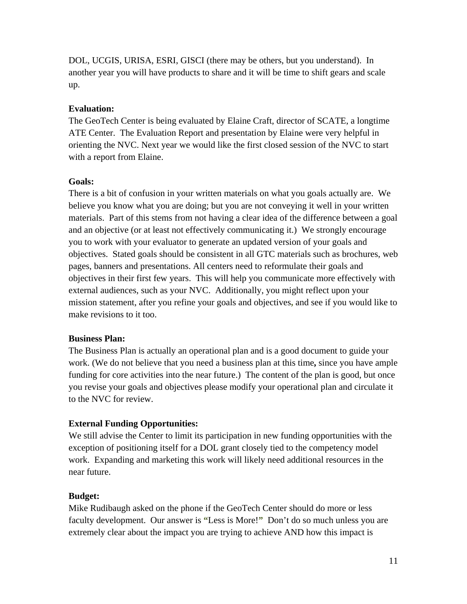DOL, UCGIS, URISA, ESRI, GISCI (there may be others, but you understand). In another year you will have products to share and it will be time to shift gears and scale up.

#### **Evaluation:**

The GeoTech Center is being evaluated by Elaine Craft, director of SCATE, a longtime ATE Center. The Evaluation Report and presentation by Elaine were very helpful in orienting the NVC. Next year we would like the first closed session of the NVC to start with a report from Elaine.

#### **Goals:**

There is a bit of confusion in your written materials on what you goals actually are. We believe you know what you are doing; but you are not conveying it well in your written materials. Part of this stems from not having a clear idea of the difference between a goal and an objective (or at least not effectively communicating it.) We strongly encourage you to work with your evaluator to generate an updated version of your goals and objectives. Stated goals should be consistent in all GTC materials such as brochures, web pages, banners and presentations. All centers need to reformulate their goals and objectives in their first few years. This will help you communicate more effectively with external audiences, such as your NVC. Additionally, you might reflect upon your mission statement, after you refine your goals and objectives**,** and see if you would like to make revisions to it too.

#### **Business Plan:**

The Business Plan is actually an operational plan and is a good document to guide your work. (We do not believe that you need a business plan at this time**,** since you have ample funding for core activities into the near future.) The content of the plan is good, but once you revise your goals and objectives please modify your operational plan and circulate it to the NVC for review.

## **External Funding Opportunities:**

We still advise the Center to limit its participation in new funding opportunities with the exception of positioning itself for a DOL grant closely tied to the competency model work. Expanding and marketing this work will likely need additional resources in the near future.

#### **Budget:**

Mike Rudibaugh asked on the phone if the GeoTech Center should do more or less faculty development. Our answer is **"**Less is More!**"** Don't do so much unless you are extremely clear about the impact you are trying to achieve AND how this impact is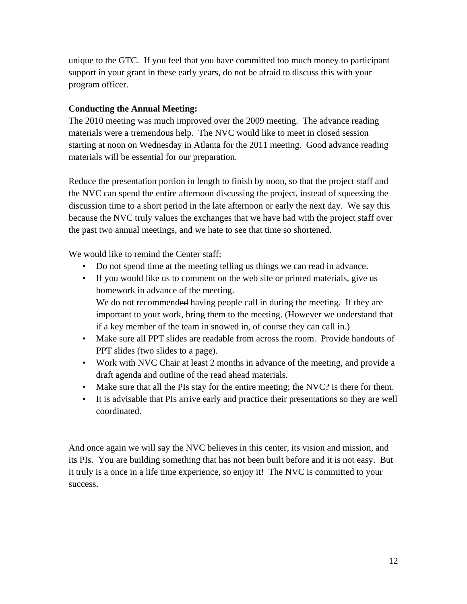unique to the GTC. If you feel that you have committed too much money to participant support in your grant in these early years, do not be afraid to discuss this with your program officer.

## **Conducting the Annual Meeting:**

The 2010 meeting was much improved over the 2009 meeting. The advance reading materials were a tremendous help. The NVC would like to meet in closed session starting at noon on Wednesday in Atlanta for the 2011 meeting. Good advance reading materials will be essential for our preparation.

Reduce the presentation portion in length to finish by noon, so that the project staff and the NVC can spend the entire afternoon discussing the project, instead of squeezing the discussion time to a short period in the late afternoon or early the next day. We say this because the NVC truly values the exchanges that we have had with the project staff over the past two annual meetings, and we hate to see that time so shortened.

We would like to remind the Center staff:

- Do not spend time at the meeting telling us things we can read in advance.
- If you would like us to comment on the web site or printed materials, give us homework in advance of the meeting. We do not recommended having people call in during the meeting. If they are important to your work, bring them to the meeting. (However we understand that if a key member of the team in snowed in, of course they can call in.)
- Make sure all PPT slides are readable from across the room. Provide handouts of PPT slides (two slides to a page).
- Work with NVC Chair at least 2 month**s** in advance of the meeting, and provide a draft agenda and outline of the read ahead materials.
- Make sure that all the PIs stay for the entire meeting; the NVC? is there for them.
- It is advisable that PIs arrive early and practice their presentations so they are well coordinated.

And once again we will say the NVC believes in this center, its vision and mission, and its PIs. You are building something that has not been built before and it is not easy. But it truly is a once in a life time experience, so enjoy it! The NVC is committed to your success.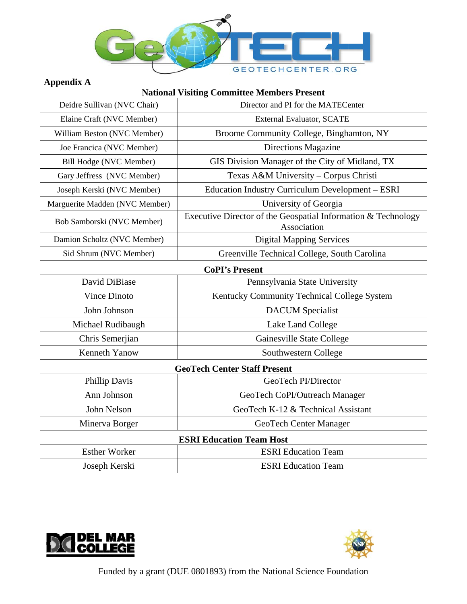

# **Appendix A**

## **National Visiting Committee Members Present**

| Deidre Sullivan (NVC Chair)    | Director and PI for the MATECenter                                             |  |
|--------------------------------|--------------------------------------------------------------------------------|--|
| Elaine Craft (NVC Member)      | External Evaluator, SCATE                                                      |  |
| William Beston (NVC Member)    | Broome Community College, Binghamton, NY                                       |  |
| Joe Francica (NVC Member)      | Directions Magazine                                                            |  |
| Bill Hodge (NVC Member)        | GIS Division Manager of the City of Midland, TX                                |  |
| Gary Jeffress (NVC Member)     | Texas A&M University – Corpus Christi                                          |  |
| Joseph Kerski (NVC Member)     | Education Industry Curriculum Development – ESRI                               |  |
| Marguerite Madden (NVC Member) | University of Georgia                                                          |  |
| Bob Samborski (NVC Member)     | Executive Director of the Geospatial Information $&$ Technology<br>Association |  |
| Damion Scholtz (NVC Member)    | <b>Digital Mapping Services</b>                                                |  |
| Sid Shrum (NVC Member)         | Greenville Technical College, South Carolina                                   |  |
| CoPI's Present                 |                                                                                |  |

| $\sim$ $\sim$ $\sim$ $\sim$ $\sim$ $\sim$ $\sim$ $\sim$ |                                             |  |
|---------------------------------------------------------|---------------------------------------------|--|
| David DiBiase                                           | Pennsylvania State University               |  |
| Vince Dinoto                                            | Kentucky Community Technical College System |  |
| John Johnson                                            | <b>DACUM</b> Specialist                     |  |
| Michael Rudibaugh                                       | Lake Land College                           |  |
| Chris Semerjian                                         | Gainesville State College                   |  |
| Kenneth Yanow                                           | Southwestern College                        |  |

## **GeoTech Center Staff Present**

| Phillip Davis  | GeoTech PI/Director                |
|----------------|------------------------------------|
| Ann Johnson    | GeoTech CoPI/Outreach Manager      |
| John Nelson    | GeoTech K-12 & Technical Assistant |
| Minerva Borger | GeoTech Center Manager             |

## **ESRI Education Team Host**

| <b>Esther Worker</b> | <b>ESRI</b> Education Team |  |
|----------------------|----------------------------|--|
| Joseph Kerski        | <b>ESRI</b> Education Team |  |



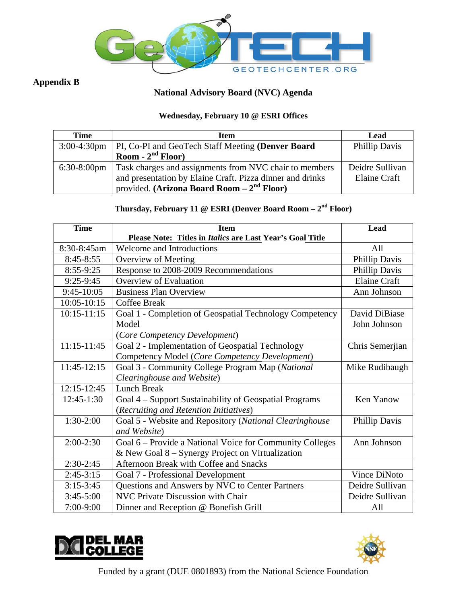

# **Appendix B**

# **National Advisory Board (NVC) Agenda**

## Wednesday, February 10 @ ESRI Offices

| <b>Time</b> | <b>Item</b>                                                          | Lead                |
|-------------|----------------------------------------------------------------------|---------------------|
|             | 3:00-4:30pm   PI, Co-PI and GeoTech Staff Meeting (Denver Board      | Phillip Davis       |
|             | Room - $2nd$ Floor)                                                  |                     |
|             | 6:30-8:00pm   Task charges and assignments from NVC chair to members | Deidre Sullivan     |
|             | and presentation by Elaine Craft. Pizza dinner and drinks            | <b>Elaine Craft</b> |
|             | provided. (Arizona Board Room $-2^{nd}$ Floor)                       |                     |

# Thursday, February 11 @ ESRI (Denver Board Room  $-2^{nd}$  Floor)

| <b>Time</b>     | <b>Item</b>                                               | Lead                |
|-----------------|-----------------------------------------------------------|---------------------|
|                 | Please Note: Titles in Italics are Last Year's Goal Title |                     |
| 8:30-8:45am     | <b>Welcome and Introductions</b>                          | All                 |
| $8:45-8:55$     | Overview of Meeting                                       | Phillip Davis       |
| 8:55-9:25       | Response to 2008-2009 Recommendations                     | Phillip Davis       |
| $9:25-9:45$     | <b>Overview of Evaluation</b>                             | <b>Elaine Craft</b> |
| $9:45-10:05$    | <b>Business Plan Overview</b>                             | Ann Johnson         |
| 10:05-10:15     | <b>Coffee Break</b>                                       |                     |
| $10:15 - 11:15$ | Goal 1 - Completion of Geospatial Technology Competency   | David DiBiase       |
|                 | Model                                                     | John Johnson        |
|                 | (Core Competency Development)                             |                     |
| $11:15 - 11:45$ | Goal 2 - Implementation of Geospatial Technology          | Chris Semerjian     |
|                 | Competency Model (Core Competency Development)            |                     |
| 11:45-12:15     | Goal 3 - Community College Program Map (National          | Mike Rudibaugh      |
|                 | Clearinghouse and Website)                                |                     |
| $12:15 - 12:45$ | <b>Lunch Break</b>                                        |                     |
| 12:45-1:30      | Goal 4 - Support Sustainability of Geospatial Programs    | Ken Yanow           |
|                 | (Recruiting and Retention Initiatives)                    |                     |
| $1:30-2:00$     | Goal 5 - Website and Repository (National Clearinghouse   | Phillip Davis       |
|                 | and Website)                                              |                     |
| $2:00-2:30$     | Goal 6 – Provide a National Voice for Community Colleges  | Ann Johnson         |
|                 | & New Goal 8 – Synergy Project on Virtualization          |                     |
| $2:30-2:45$     | Afternoon Break with Coffee and Snacks                    |                     |
| $2:45-3:15$     | Goal 7 - Professional Development                         | Vince DiNoto        |
| $3:15-3:45$     | Questions and Answers by NVC to Center Partners           | Deidre Sullivan     |
| $3:45-5:00$     | NVC Private Discussion with Chair                         | Deidre Sullivan     |
| 7:00-9:00       | Dinner and Reception @ Bonefish Grill                     | All                 |